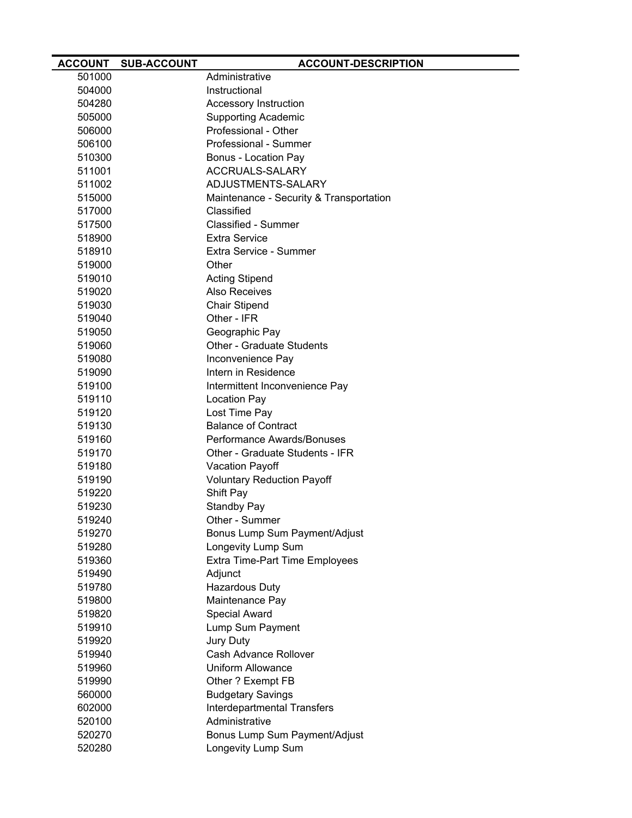| <b>ACCOUNT</b> | <b>SUB-ACCOUNT</b> | <b>ACCOUNT-DESCRIPTION</b>              |
|----------------|--------------------|-----------------------------------------|
| 501000         |                    | Administrative                          |
| 504000         |                    | Instructional                           |
| 504280         |                    | Accessory Instruction                   |
| 505000         |                    | <b>Supporting Academic</b>              |
| 506000         |                    | Professional - Other                    |
| 506100         |                    | Professional - Summer                   |
| 510300         |                    | Bonus - Location Pay                    |
| 511001         |                    | ACCRUALS-SALARY                         |
| 511002         |                    | ADJUSTMENTS-SALARY                      |
| 515000         |                    | Maintenance - Security & Transportation |
| 517000         |                    | Classified                              |
| 517500         |                    | <b>Classified - Summer</b>              |
| 518900         |                    | <b>Extra Service</b>                    |
| 518910         |                    | Extra Service - Summer                  |
| 519000         |                    | Other                                   |
| 519010         |                    | <b>Acting Stipend</b>                   |
| 519020         |                    | <b>Also Receives</b>                    |
| 519030         |                    | <b>Chair Stipend</b>                    |
| 519040         |                    | Other - IFR                             |
| 519050         |                    | Geographic Pay                          |
| 519060         |                    | <b>Other - Graduate Students</b>        |
| 519080         |                    | Inconvenience Pay                       |
| 519090         |                    | Intern in Residence                     |
| 519100         |                    | Intermittent Inconvenience Pay          |
| 519110         |                    | <b>Location Pay</b>                     |
| 519120         |                    | Lost Time Pay                           |
| 519130         |                    | <b>Balance of Contract</b>              |
| 519160         |                    | Performance Awards/Bonuses              |
| 519170         |                    | Other - Graduate Students - IFR         |
| 519180         |                    | Vacation Payoff                         |
| 519190         |                    | <b>Voluntary Reduction Payoff</b>       |
| 519220         |                    | Shift Pay                               |
| 519230         |                    | <b>Standby Pay</b>                      |
| 519240         |                    | Other - Summer                          |
| 519270         |                    | Bonus Lump Sum Payment/Adjust           |
| 519280         |                    | Longevity Lump Sum                      |
| 519360         |                    | Extra Time-Part Time Employees          |
| 519490         |                    | Adjunct                                 |
| 519780         |                    | <b>Hazardous Duty</b>                   |
| 519800         |                    | Maintenance Pay                         |
| 519820         |                    | Special Award                           |
| 519910         |                    | Lump Sum Payment                        |
| 519920         |                    | <b>Jury Duty</b>                        |
| 519940         |                    | Cash Advance Rollover                   |
| 519960         |                    | <b>Uniform Allowance</b>                |
| 519990         |                    | Other ? Exempt FB                       |
| 560000         |                    | <b>Budgetary Savings</b>                |
| 602000         |                    | <b>Interdepartmental Transfers</b>      |
| 520100         |                    | Administrative                          |
| 520270         |                    | Bonus Lump Sum Payment/Adjust           |
| 520280         |                    | Longevity Lump Sum                      |
|                |                    |                                         |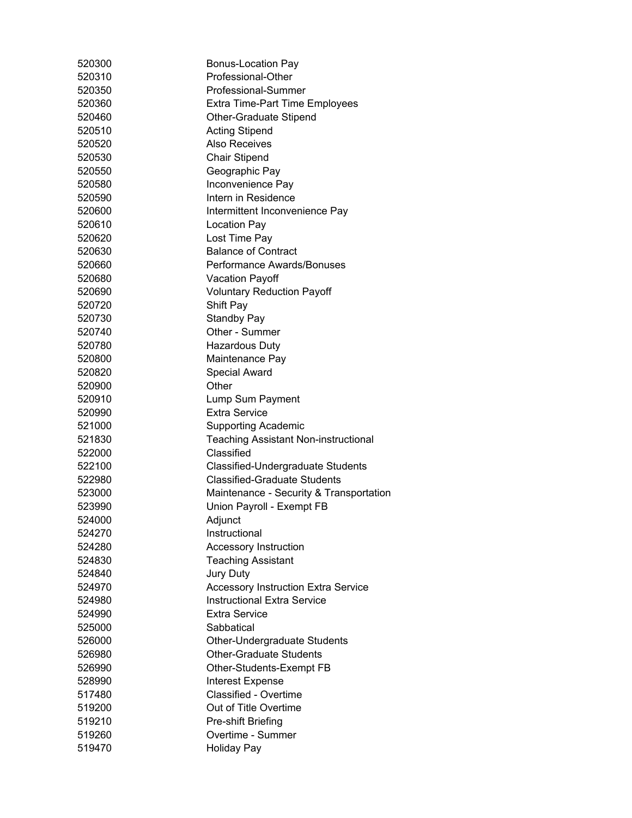| 520300 | <b>Bonus-Location Pay</b>                   |
|--------|---------------------------------------------|
| 520310 | Professional-Other                          |
| 520350 | Professional-Summer                         |
| 520360 | <b>Extra Time-Part Time Employees</b>       |
| 520460 | <b>Other-Graduate Stipend</b>               |
| 520510 | <b>Acting Stipend</b>                       |
| 520520 | <b>Also Receives</b>                        |
| 520530 | <b>Chair Stipend</b>                        |
| 520550 | Geographic Pay                              |
| 520580 | Inconvenience Pay                           |
| 520590 | Intern in Residence                         |
| 520600 | Intermittent Inconvenience Pay              |
| 520610 | <b>Location Pay</b>                         |
| 520620 | Lost Time Pay                               |
| 520630 | <b>Balance of Contract</b>                  |
| 520660 | Performance Awards/Bonuses                  |
| 520680 | <b>Vacation Payoff</b>                      |
| 520690 | <b>Voluntary Reduction Payoff</b>           |
| 520720 | Shift Pay                                   |
| 520730 | <b>Standby Pay</b>                          |
| 520740 | Other - Summer                              |
| 520780 | <b>Hazardous Duty</b>                       |
| 520800 | Maintenance Pay                             |
| 520820 | <b>Special Award</b>                        |
| 520900 | Other                                       |
| 520910 | Lump Sum Payment                            |
| 520990 | <b>Extra Service</b>                        |
| 521000 | <b>Supporting Academic</b>                  |
| 521830 | <b>Teaching Assistant Non-instructional</b> |
| 522000 | Classified                                  |
| 522100 | Classified-Undergraduate Students           |
| 522980 | <b>Classified-Graduate Students</b>         |
| 523000 | Maintenance - Security & Transportation     |
| 523990 | Union Payroll - Exempt FB                   |
| 524000 | Adjunct                                     |
| 524270 | Instructional                               |
| 524280 | Accessory Instruction                       |
| 524830 | <b>Teaching Assistant</b>                   |
| 524840 | Jury Duty                                   |
| 524970 | <b>Accessory Instruction Extra Service</b>  |
| 524980 | <b>Instructional Extra Service</b>          |
| 524990 | <b>Extra Service</b>                        |
| 525000 | Sabbatical                                  |
| 526000 | Other-Undergraduate Students                |
| 526980 | <b>Other-Graduate Students</b>              |
| 526990 | Other-Students-Exempt FB                    |
| 528990 | Interest Expense                            |
| 517480 | <b>Classified - Overtime</b>                |
| 519200 | Out of Title Overtime                       |
| 519210 | Pre-shift Briefing                          |
| 519260 | Overtime - Summer                           |
| 519470 | <b>Holiday Pay</b>                          |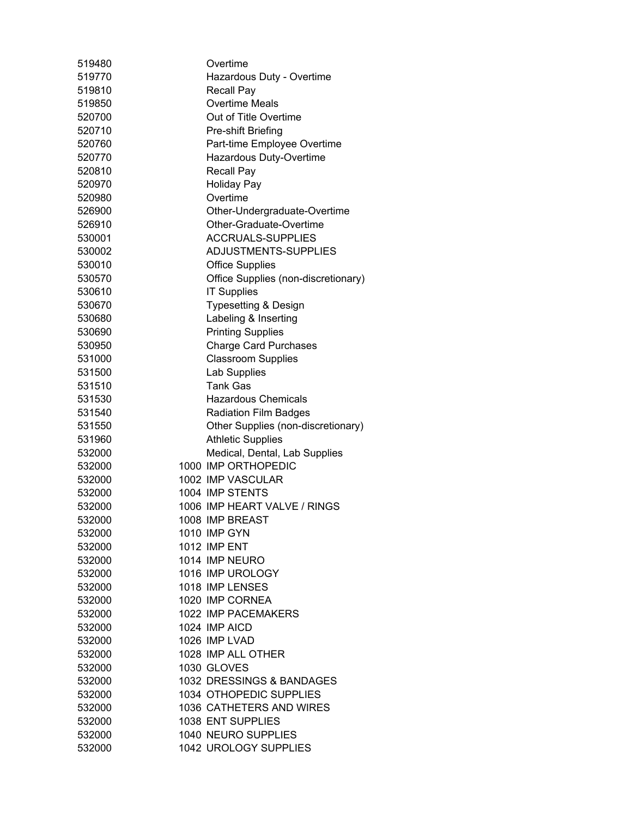| 519480           | Overtime                            |
|------------------|-------------------------------------|
| 519770           | Hazardous Duty - Overtime           |
| 519810           | <b>Recall Pay</b>                   |
| 519850           | <b>Overtime Meals</b>               |
| 520700           | Out of Title Overtime               |
| 520710           | Pre-shift Briefing                  |
| 520760           | Part-time Employee Overtime         |
| 520770           | Hazardous Duty-Overtime             |
| 520810           | <b>Recall Pay</b>                   |
| 520970           | <b>Holiday Pay</b>                  |
| 520980           | Overtime                            |
| 526900           | Other-Undergraduate-Overtime        |
| 526910           | Other-Graduate-Overtime             |
| 530001           | <b>ACCRUALS-SUPPLIES</b>            |
| 530002           | ADJUSTMENTS-SUPPLIES                |
| 530010           | <b>Office Supplies</b>              |
| 530570           | Office Supplies (non-discretionary) |
| 530610           | <b>IT Supplies</b>                  |
| 530670           | Typesetting & Design                |
| 530680           | Labeling & Inserting                |
| 530690           | <b>Printing Supplies</b>            |
| 530950           | <b>Charge Card Purchases</b>        |
| 531000           | <b>Classroom Supplies</b>           |
| 531500           | Lab Supplies                        |
| 531510           | <b>Tank Gas</b>                     |
| 531530           | <b>Hazardous Chemicals</b>          |
| 531540           | <b>Radiation Film Badges</b>        |
| 531550           | Other Supplies (non-discretionary)  |
| 531960           | <b>Athletic Supplies</b>            |
| 532000           | Medical, Dental, Lab Supplies       |
| 532000           | 1000 IMP ORTHOPEDIC                 |
| 532000           | 1002 IMP VASCULAR                   |
| 532000           | 1004 IMP STENTS                     |
| 532000           | 1006 IMP HEART VALVE / RINGS        |
| 532000           | 1008 IMP BREAST                     |
| 532000           | 1010 IMP GYN                        |
| 532000           | <b>1012 IMP ENT</b>                 |
| 532000           | 1014 IMP NEURO                      |
| 532000           | 1016 IMP UROLOGY                    |
| 532000           | 1018 IMP LENSES                     |
| 532000           | 1020 IMP CORNEA                     |
| 532000           | 1022 IMP PACEMAKERS                 |
| 532000           | 1024 IMP AICD                       |
| 532000           | 1026 IMP LVAD                       |
|                  | 1028 IMP ALL OTHER                  |
| 532000<br>532000 | 1030 GLOVES                         |
| 532000           | 1032 DRESSINGS & BANDAGES           |
|                  | 1034 OTHOPEDIC SUPPLIES             |
| 532000<br>532000 |                                     |
|                  | 1036 CATHETERS AND WIRES            |
| 532000           | 1038 ENT SUPPLIES                   |
| 532000           | 1040 NEURO SUPPLIES                 |
| 532000           | 1042 UROLOGY SUPPLIES               |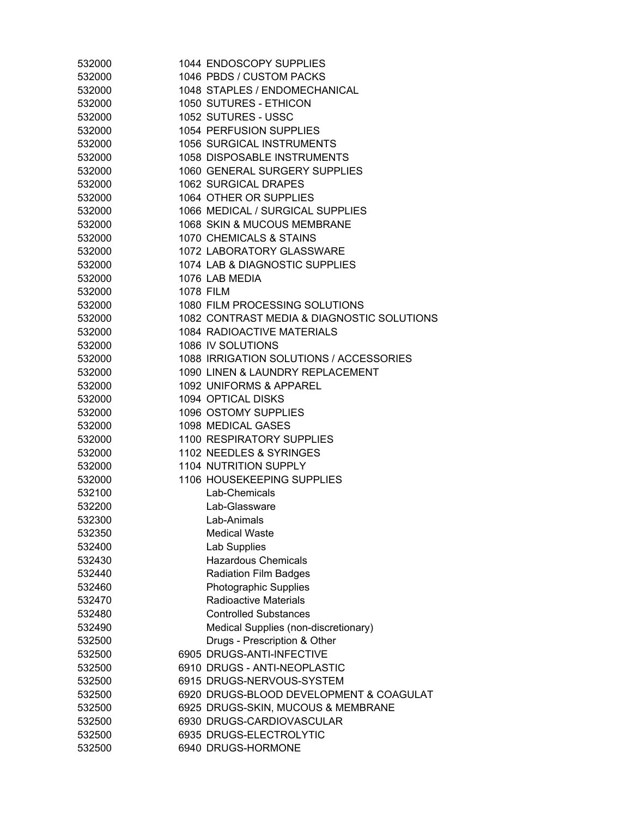| 532000 | 1044 ENDOSCOPY SUPPLIES                    |
|--------|--------------------------------------------|
| 532000 | 1046 PBDS / CUSTOM PACKS                   |
| 532000 | 1048 STAPLES / ENDOMECHANICAL              |
| 532000 | 1050 SUTURES - ETHICON                     |
| 532000 | 1052 SUTURES - USSC                        |
| 532000 | 1054 PERFUSION SUPPLIES                    |
| 532000 | 1056 SURGICAL INSTRUMENTS                  |
| 532000 | 1058 DISPOSABLE INSTRUMENTS                |
| 532000 | 1060 GENERAL SURGERY SUPPLIES              |
| 532000 | 1062 SURGICAL DRAPES                       |
| 532000 | 1064 OTHER OR SUPPLIES                     |
| 532000 | 1066 MEDICAL / SURGICAL SUPPLIES           |
| 532000 | 1068 SKIN & MUCOUS MEMBRANE                |
| 532000 | 1070 CHEMICALS & STAINS                    |
| 532000 | 1072 LABORATORY GLASSWARE                  |
| 532000 | 1074 LAB & DIAGNOSTIC SUPPLIES             |
| 532000 | 1076 LAB MEDIA                             |
| 532000 | <b>1078 FILM</b>                           |
| 532000 | 1080 FILM PROCESSING SOLUTIONS             |
| 532000 | 1082 CONTRAST MEDIA & DIAGNOSTIC SOLUTIONS |
| 532000 | <b>1084 RADIOACTIVE MATERIALS</b>          |
| 532000 | 1086 IV SOLUTIONS                          |
| 532000 | 1088 IRRIGATION SOLUTIONS / ACCESSORIES    |
| 532000 | 1090 LINEN & LAUNDRY REPLACEMENT           |
| 532000 | 1092 UNIFORMS & APPAREL                    |
| 532000 | 1094 OPTICAL DISKS                         |
| 532000 | 1096 OSTOMY SUPPLIES                       |
| 532000 | 1098 MEDICAL GASES                         |
| 532000 | <b>1100 RESPIRATORY SUPPLIES</b>           |
| 532000 | 1102 NEEDLES & SYRINGES                    |
| 532000 | 1104 NUTRITION SUPPLY                      |
| 532000 | 1106 HOUSEKEEPING SUPPLIES                 |
| 532100 | Lab-Chemicals                              |
| 532200 | Lab-Glassware                              |
| 532300 | Lab-Animals                                |
| 532350 | <b>Medical Waste</b>                       |
| 532400 | Lab Supplies                               |
| 532430 | <b>Hazardous Chemicals</b>                 |
| 532440 | <b>Radiation Film Badges</b>               |
| 532460 | Photographic Supplies                      |
| 532470 | <b>Radioactive Materials</b>               |
| 532480 | <b>Controlled Substances</b>               |
| 532490 | Medical Supplies (non-discretionary)       |
| 532500 | Drugs - Prescription & Other               |
| 532500 | 6905 DRUGS-ANTI-INFECTIVE                  |
| 532500 | 6910 DRUGS - ANTI-NEOPLASTIC               |
| 532500 | 6915 DRUGS-NERVOUS-SYSTEM                  |
| 532500 | 6920 DRUGS-BLOOD DEVELOPMENT & COAGULAT    |
| 532500 | 6925 DRUGS-SKIN, MUCOUS & MEMBRANE         |
| 532500 | 6930 DRUGS-CARDIOVASCULAR                  |
| 532500 | 6935 DRUGS-ELECTROLYTIC                    |
| 532500 | 6940 DRUGS-HORMONE                         |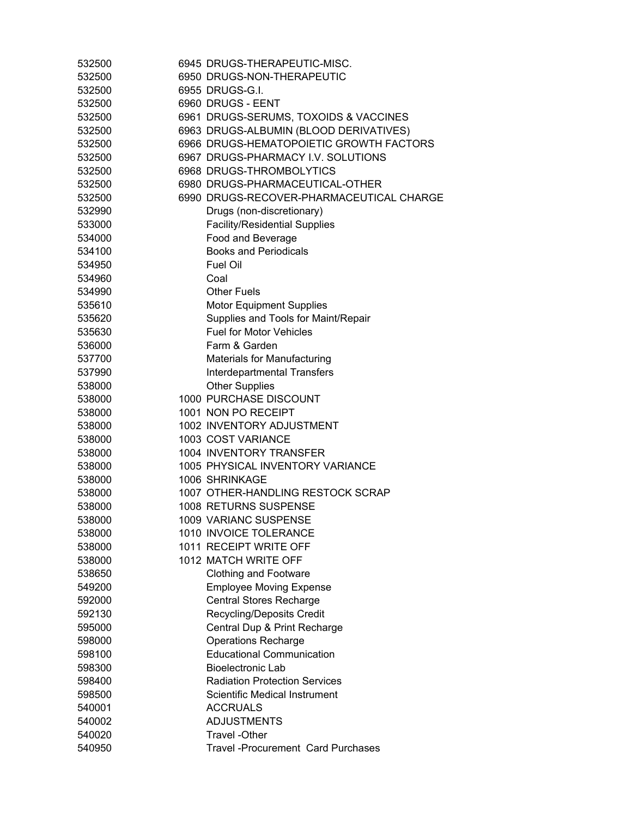| 532500 | 6945 DRUGS-THERAPEUTIC-MISC.              |
|--------|-------------------------------------------|
| 532500 | 6950 DRUGS-NON-THERAPEUTIC                |
| 532500 | 6955 DRUGS-G.I.                           |
| 532500 | 6960 DRUGS - EENT                         |
| 532500 | 6961 DRUGS-SERUMS, TOXOIDS & VACCINES     |
| 532500 | 6963 DRUGS-ALBUMIN (BLOOD DERIVATIVES)    |
| 532500 | 6966 DRUGS-HEMATOPOIETIC GROWTH FACTORS   |
| 532500 | 6967 DRUGS-PHARMACY I.V. SOLUTIONS        |
| 532500 | 6968 DRUGS-THROMBOLYTICS                  |
| 532500 | 6980 DRUGS-PHARMACEUTICAL-OTHER           |
| 532500 | 6990 DRUGS-RECOVER-PHARMACEUTICAL CHARGE  |
| 532990 | Drugs (non-discretionary)                 |
| 533000 | <b>Facility/Residential Supplies</b>      |
| 534000 | Food and Beverage                         |
| 534100 | <b>Books and Periodicals</b>              |
| 534950 | <b>Fuel Oil</b>                           |
| 534960 | Coal                                      |
| 534990 | <b>Other Fuels</b>                        |
| 535610 | <b>Motor Equipment Supplies</b>           |
| 535620 | Supplies and Tools for Maint/Repair       |
| 535630 | <b>Fuel for Motor Vehicles</b>            |
| 536000 | Farm & Garden                             |
| 537700 | <b>Materials for Manufacturing</b>        |
| 537990 | <b>Interdepartmental Transfers</b>        |
| 538000 | <b>Other Supplies</b>                     |
| 538000 | 1000 PURCHASE DISCOUNT                    |
| 538000 | 1001 NON PO RECEIPT                       |
| 538000 | 1002 INVENTORY ADJUSTMENT                 |
| 538000 | 1003 COST VARIANCE                        |
| 538000 | 1004 INVENTORY TRANSFER                   |
| 538000 | 1005 PHYSICAL INVENTORY VARIANCE          |
| 538000 | 1006 SHRINKAGE                            |
| 538000 | 1007 OTHER-HANDLING RESTOCK SCRAP         |
| 538000 | 1008 RETURNS SUSPENSE                     |
| 538000 | 1009 VARIANC SUSPENSE                     |
| 538000 | 1010 INVOICE TOLERANCE                    |
| 538000 | 1011 RECEIPT WRITE OFF                    |
| 538000 | 1012 MATCH WRITE OFF                      |
| 538650 | <b>Clothing and Footware</b>              |
| 549200 | <b>Employee Moving Expense</b>            |
| 592000 | <b>Central Stores Recharge</b>            |
| 592130 | Recycling/Deposits Credit                 |
| 595000 | Central Dup & Print Recharge              |
| 598000 | <b>Operations Recharge</b>                |
| 598100 | <b>Educational Communication</b>          |
| 598300 | <b>Bioelectronic Lab</b>                  |
| 598400 | <b>Radiation Protection Services</b>      |
| 598500 | Scientific Medical Instrument             |
| 540001 | <b>ACCRUALS</b>                           |
| 540002 | <b>ADJUSTMENTS</b>                        |
| 540020 | <b>Travel -Other</b>                      |
| 540950 | <b>Travel -Procurement Card Purchases</b> |
|        |                                           |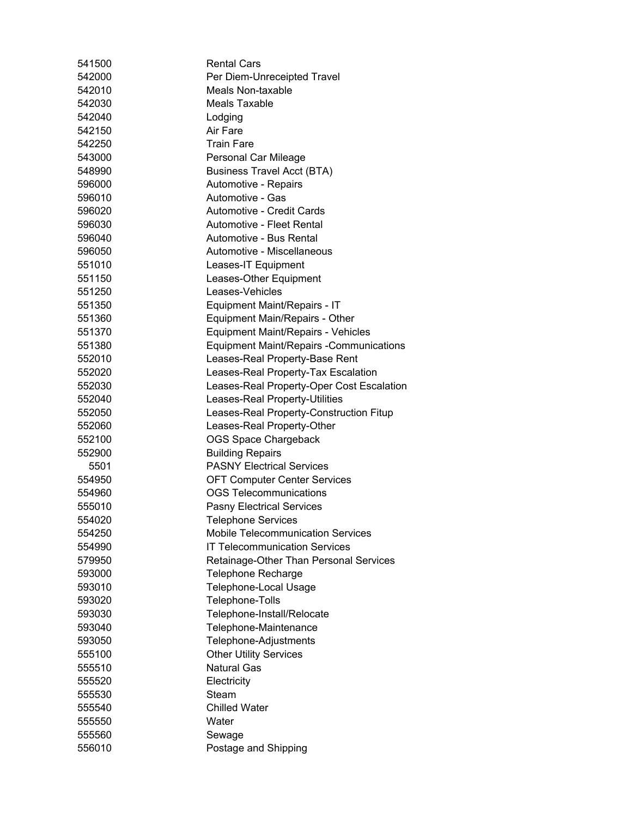| 541500 | <b>Rental Cars</b>                             |
|--------|------------------------------------------------|
| 542000 | Per Diem-Unreceipted Travel                    |
| 542010 | <b>Meals Non-taxable</b>                       |
| 542030 | Meals Taxable                                  |
| 542040 | Lodging                                        |
| 542150 | Air Fare                                       |
| 542250 | <b>Train Fare</b>                              |
| 543000 | Personal Car Mileage                           |
| 548990 | <b>Business Travel Acct (BTA)</b>              |
| 596000 | Automotive - Repairs                           |
| 596010 | Automotive - Gas                               |
| 596020 | Automotive - Credit Cards                      |
| 596030 | Automotive - Fleet Rental                      |
| 596040 | Automotive - Bus Rental                        |
| 596050 | Automotive - Miscellaneous                     |
| 551010 | Leases-IT Equipment                            |
| 551150 | Leases-Other Equipment                         |
| 551250 | Leases-Vehicles                                |
| 551350 | Equipment Maint/Repairs - IT                   |
| 551360 | Equipment Main/Repairs - Other                 |
| 551370 | Equipment Maint/Repairs - Vehicles             |
| 551380 | <b>Equipment Maint/Repairs -Communications</b> |
| 552010 | Leases-Real Property-Base Rent                 |
| 552020 | Leases-Real Property-Tax Escalation            |
| 552030 | Leases-Real Property-Oper Cost Escalation      |
| 552040 | Leases-Real Property-Utilities                 |
| 552050 | Leases-Real Property-Construction Fitup        |
| 552060 | Leases-Real Property-Other                     |
| 552100 | <b>OGS Space Chargeback</b>                    |
| 552900 | <b>Building Repairs</b>                        |
| 5501   | <b>PASNY Electrical Services</b>               |
| 554950 | <b>OFT Computer Center Services</b>            |
| 554960 | <b>OGS Telecommunications</b>                  |
| 555010 | <b>Pasny Electrical Services</b>               |
| 554020 | <b>Telephone Services</b>                      |
| 554250 | <b>Mobile Telecommunication Services</b>       |
| 554990 | <b>IT Telecommunication Services</b>           |
| 579950 | Retainage-Other Than Personal Services         |
| 593000 | Telephone Recharge                             |
| 593010 | Telephone-Local Usage                          |
| 593020 | Telephone-Tolls                                |
| 593030 | Telephone-Install/Relocate                     |
| 593040 | Telephone-Maintenance                          |
| 593050 | Telephone-Adjustments                          |
| 555100 | <b>Other Utility Services</b>                  |
| 555510 | <b>Natural Gas</b>                             |
| 555520 | Electricity                                    |
| 555530 | Steam                                          |
| 555540 | <b>Chilled Water</b>                           |
| 555550 | Water                                          |
| 555560 | Sewage                                         |
| 556010 | Postage and Shipping                           |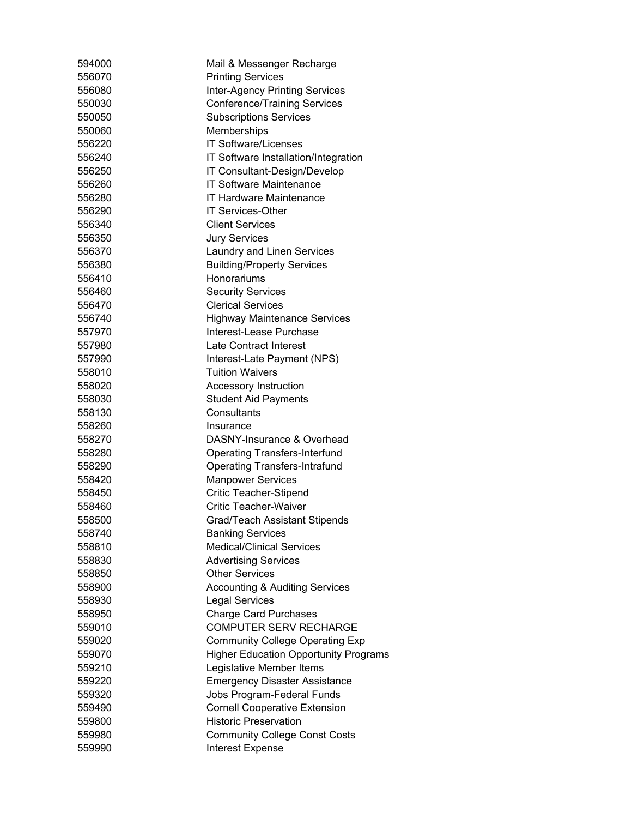| 594000 | Mail & Messenger Recharge                    |
|--------|----------------------------------------------|
| 556070 | <b>Printing Services</b>                     |
| 556080 | <b>Inter-Agency Printing Services</b>        |
| 550030 | <b>Conference/Training Services</b>          |
| 550050 | <b>Subscriptions Services</b>                |
| 550060 | Memberships                                  |
| 556220 | <b>IT Software/Licenses</b>                  |
| 556240 | IT Software Installation/Integration         |
| 556250 | IT Consultant-Design/Develop                 |
| 556260 | <b>IT Software Maintenance</b>               |
| 556280 | <b>IT Hardware Maintenance</b>               |
| 556290 | <b>IT Services-Other</b>                     |
| 556340 | <b>Client Services</b>                       |
| 556350 | <b>Jury Services</b>                         |
| 556370 | Laundry and Linen Services                   |
| 556380 | <b>Building/Property Services</b>            |
| 556410 | Honorariums                                  |
| 556460 | <b>Security Services</b>                     |
| 556470 | <b>Clerical Services</b>                     |
| 556740 | <b>Highway Maintenance Services</b>          |
| 557970 | Interest-Lease Purchase                      |
| 557980 | <b>Late Contract Interest</b>                |
| 557990 | Interest-Late Payment (NPS)                  |
| 558010 | <b>Tuition Waivers</b>                       |
| 558020 | <b>Accessory Instruction</b>                 |
| 558030 | <b>Student Aid Payments</b>                  |
| 558130 | Consultants                                  |
| 558260 | Insurance                                    |
| 558270 | DASNY-Insurance & Overhead                   |
| 558280 | <b>Operating Transfers-Interfund</b>         |
| 558290 | <b>Operating Transfers-Intrafund</b>         |
| 558420 | <b>Manpower Services</b>                     |
| 558450 | <b>Critic Teacher-Stipend</b>                |
| 558460 | <b>Critic Teacher-Waiver</b>                 |
| 558500 | Grad/Teach Assistant Stipends                |
| 558740 | <b>Banking Services</b>                      |
| 558810 | <b>Medical/Clinical Services</b>             |
| 558830 | <b>Advertising Services</b>                  |
| 558850 | <b>Other Services</b>                        |
| 558900 | <b>Accounting &amp; Auditing Services</b>    |
| 558930 | <b>Legal Services</b>                        |
| 558950 | <b>Charge Card Purchases</b>                 |
| 559010 | <b>COMPUTER SERV RECHARGE</b>                |
| 559020 | <b>Community College Operating Exp</b>       |
| 559070 | <b>Higher Education Opportunity Programs</b> |
| 559210 | Legislative Member Items                     |
| 559220 | <b>Emergency Disaster Assistance</b>         |
| 559320 | Jobs Program-Federal Funds                   |
| 559490 | <b>Cornell Cooperative Extension</b>         |
| 559800 | <b>Historic Preservation</b>                 |
| 559980 | <b>Community College Const Costs</b>         |
| 559990 | <b>Interest Expense</b>                      |
|        |                                              |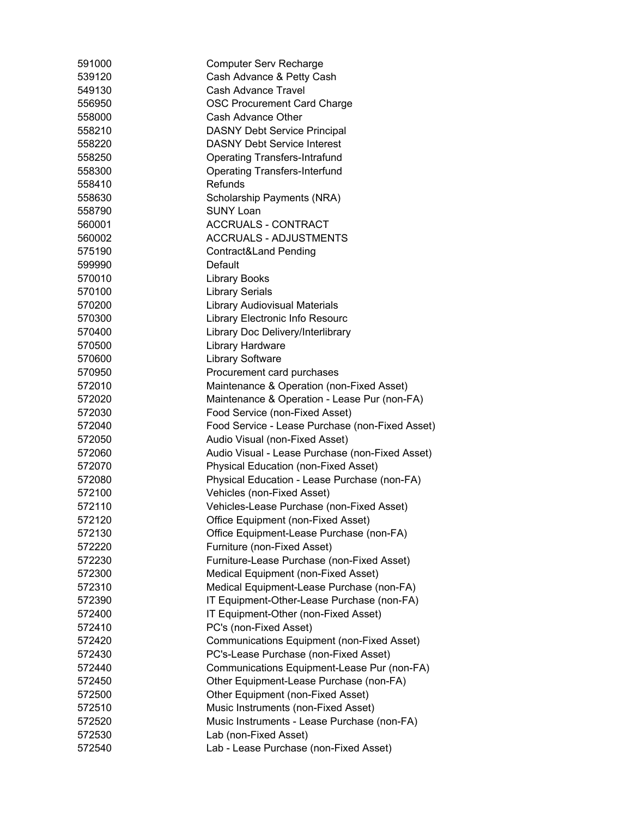| 591000 | <b>Computer Serv Recharge</b>                   |
|--------|-------------------------------------------------|
| 539120 | Cash Advance & Petty Cash                       |
| 549130 | <b>Cash Advance Travel</b>                      |
| 556950 | <b>OSC Procurement Card Charge</b>              |
| 558000 | Cash Advance Other                              |
| 558210 | <b>DASNY Debt Service Principal</b>             |
| 558220 | <b>DASNY Debt Service Interest</b>              |
| 558250 | <b>Operating Transfers-Intrafund</b>            |
| 558300 | <b>Operating Transfers-Interfund</b>            |
| 558410 | Refunds                                         |
| 558630 | Scholarship Payments (NRA)                      |
| 558790 | <b>SUNY Loan</b>                                |
| 560001 | <b>ACCRUALS - CONTRACT</b>                      |
| 560002 | <b>ACCRUALS - ADJUSTMENTS</b>                   |
| 575190 | Contract&Land Pending                           |
| 599990 | Default                                         |
| 570010 | <b>Library Books</b>                            |
| 570100 | <b>Library Serials</b>                          |
| 570200 | <b>Library Audiovisual Materials</b>            |
| 570300 | Library Electronic Info Resourc                 |
| 570400 | Library Doc Delivery/Interlibrary               |
| 570500 | Library Hardware                                |
| 570600 | <b>Library Software</b>                         |
| 570950 | Procurement card purchases                      |
| 572010 | Maintenance & Operation (non-Fixed Asset)       |
| 572020 | Maintenance & Operation - Lease Pur (non-FA)    |
| 572030 | Food Service (non-Fixed Asset)                  |
| 572040 | Food Service - Lease Purchase (non-Fixed Asset) |
| 572050 | Audio Visual (non-Fixed Asset)                  |
| 572060 | Audio Visual - Lease Purchase (non-Fixed Asset) |
| 572070 | Physical Education (non-Fixed Asset)            |
| 572080 | Physical Education - Lease Purchase (non-FA)    |
| 572100 | Vehicles (non-Fixed Asset)                      |
| 572110 | Vehicles-Lease Purchase (non-Fixed Asset)       |
| 572120 | Office Equipment (non-Fixed Asset)              |
| 572130 | Office Equipment-Lease Purchase (non-FA)        |
| 572220 | Furniture (non-Fixed Asset)                     |
| 572230 | Furniture-Lease Purchase (non-Fixed Asset)      |
| 572300 | Medical Equipment (non-Fixed Asset)             |
| 572310 | Medical Equipment-Lease Purchase (non-FA)       |
| 572390 | IT Equipment-Other-Lease Purchase (non-FA)      |
| 572400 | IT Equipment-Other (non-Fixed Asset)            |
| 572410 | PC's (non-Fixed Asset)                          |
| 572420 | Communications Equipment (non-Fixed Asset)      |
| 572430 | PC's-Lease Purchase (non-Fixed Asset)           |
| 572440 | Communications Equipment-Lease Pur (non-FA)     |
| 572450 | Other Equipment-Lease Purchase (non-FA)         |
| 572500 | Other Equipment (non-Fixed Asset)               |
| 572510 | Music Instruments (non-Fixed Asset)             |
| 572520 | Music Instruments - Lease Purchase (non-FA)     |
| 572530 | Lab (non-Fixed Asset)                           |
| 572540 | Lab - Lease Purchase (non-Fixed Asset)          |
|        |                                                 |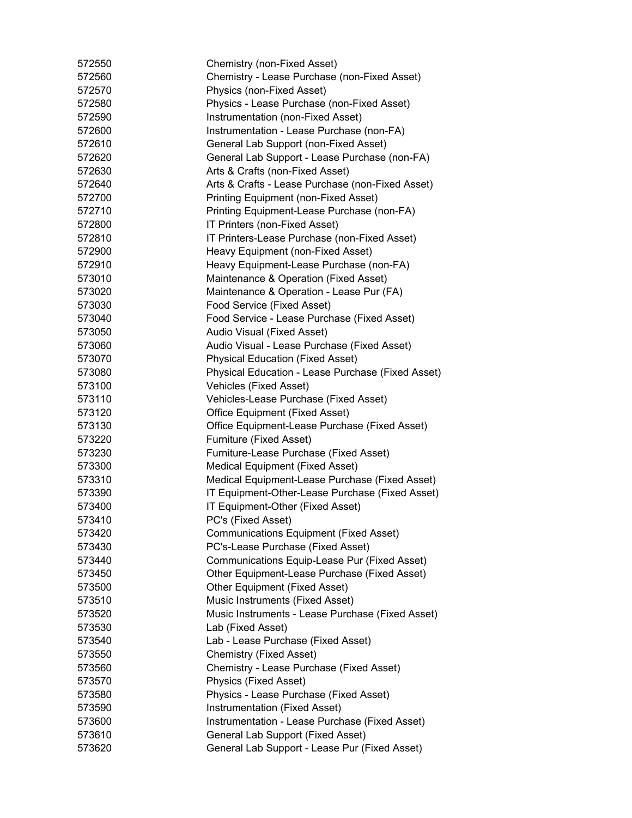| 572550 | Chemistry (non-Fixed Asset)                       |
|--------|---------------------------------------------------|
| 572560 | Chemistry - Lease Purchase (non-Fixed Asset)      |
| 572570 | Physics (non-Fixed Asset)                         |
| 572580 | Physics - Lease Purchase (non-Fixed Asset)        |
| 572590 | Instrumentation (non-Fixed Asset)                 |
| 572600 | Instrumentation - Lease Purchase (non-FA)         |
| 572610 | General Lab Support (non-Fixed Asset)             |
| 572620 | General Lab Support - Lease Purchase (non-FA)     |
| 572630 | Arts & Crafts (non-Fixed Asset)                   |
| 572640 | Arts & Crafts - Lease Purchase (non-Fixed Asset)  |
| 572700 | Printing Equipment (non-Fixed Asset)              |
| 572710 | Printing Equipment-Lease Purchase (non-FA)        |
| 572800 | IT Printers (non-Fixed Asset)                     |
| 572810 | IT Printers-Lease Purchase (non-Fixed Asset)      |
| 572900 | Heavy Equipment (non-Fixed Asset)                 |
| 572910 | Heavy Equipment-Lease Purchase (non-FA)           |
| 573010 | Maintenance & Operation (Fixed Asset)             |
| 573020 | Maintenance & Operation - Lease Pur (FA)          |
| 573030 | Food Service (Fixed Asset)                        |
| 573040 | Food Service - Lease Purchase (Fixed Asset)       |
| 573050 | Audio Visual (Fixed Asset)                        |
| 573060 | Audio Visual - Lease Purchase (Fixed Asset)       |
| 573070 | <b>Physical Education (Fixed Asset)</b>           |
| 573080 | Physical Education - Lease Purchase (Fixed Asset) |
| 573100 | Vehicles (Fixed Asset)                            |
| 573110 | Vehicles-Lease Purchase (Fixed Asset)             |
| 573120 | Office Equipment (Fixed Asset)                    |
| 573130 | Office Equipment-Lease Purchase (Fixed Asset)     |
| 573220 | Furniture (Fixed Asset)                           |
| 573230 | Furniture-Lease Purchase (Fixed Asset)            |
| 573300 | <b>Medical Equipment (Fixed Asset)</b>            |
| 573310 | Medical Equipment-Lease Purchase (Fixed Asset)    |
| 573390 | IT Equipment-Other-Lease Purchase (Fixed Asset)   |
| 573400 | IT Equipment-Other (Fixed Asset)                  |
| 573410 | PC's (Fixed Asset)                                |
| 573420 | <b>Communications Equipment (Fixed Asset)</b>     |
| 573430 | PC's-Lease Purchase (Fixed Asset)                 |
| 573440 | Communications Equip-Lease Pur (Fixed Asset)      |
| 573450 | Other Equipment-Lease Purchase (Fixed Asset)      |
| 573500 | Other Equipment (Fixed Asset)                     |
| 573510 | Music Instruments (Fixed Asset)                   |
| 573520 | Music Instruments - Lease Purchase (Fixed Asset)  |
| 573530 | Lab (Fixed Asset)                                 |
| 573540 | Lab - Lease Purchase (Fixed Asset)                |
| 573550 | Chemistry (Fixed Asset)                           |
| 573560 | Chemistry - Lease Purchase (Fixed Asset)          |
| 573570 | Physics (Fixed Asset)                             |
| 573580 | Physics - Lease Purchase (Fixed Asset)            |
| 573590 | Instrumentation (Fixed Asset)                     |
| 573600 | Instrumentation - Lease Purchase (Fixed Asset)    |
| 573610 | General Lab Support (Fixed Asset)                 |
| 573620 | General Lab Support - Lease Pur (Fixed Asset)     |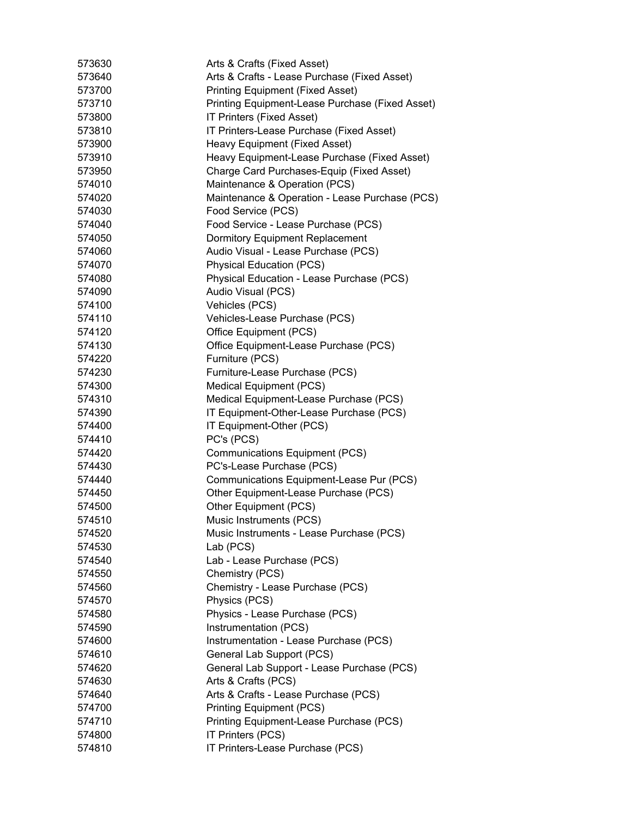| 573630 | Arts & Crafts (Fixed Asset)                     |
|--------|-------------------------------------------------|
| 573640 | Arts & Crafts - Lease Purchase (Fixed Asset)    |
| 573700 | <b>Printing Equipment (Fixed Asset)</b>         |
| 573710 | Printing Equipment-Lease Purchase (Fixed Asset) |
| 573800 | IT Printers (Fixed Asset)                       |
| 573810 | IT Printers-Lease Purchase (Fixed Asset)        |
| 573900 | Heavy Equipment (Fixed Asset)                   |
| 573910 | Heavy Equipment-Lease Purchase (Fixed Asset)    |
| 573950 | Charge Card Purchases-Equip (Fixed Asset)       |
| 574010 | Maintenance & Operation (PCS)                   |
| 574020 | Maintenance & Operation - Lease Purchase (PCS)  |
| 574030 | Food Service (PCS)                              |
| 574040 | Food Service - Lease Purchase (PCS)             |
| 574050 | Dormitory Equipment Replacement                 |
| 574060 | Audio Visual - Lease Purchase (PCS)             |
| 574070 | <b>Physical Education (PCS)</b>                 |
| 574080 | Physical Education - Lease Purchase (PCS)       |
| 574090 | Audio Visual (PCS)                              |
| 574100 | Vehicles (PCS)                                  |
| 574110 | Vehicles-Lease Purchase (PCS)                   |
| 574120 | Office Equipment (PCS)                          |
| 574130 | Office Equipment-Lease Purchase (PCS)           |
| 574220 | Furniture (PCS)                                 |
| 574230 | Furniture-Lease Purchase (PCS)                  |
| 574300 | <b>Medical Equipment (PCS)</b>                  |
| 574310 | Medical Equipment-Lease Purchase (PCS)          |
| 574390 | IT Equipment-Other-Lease Purchase (PCS)         |
| 574400 | IT Equipment-Other (PCS)                        |
| 574410 | PC's (PCS)                                      |
| 574420 | <b>Communications Equipment (PCS)</b>           |
| 574430 | PC's-Lease Purchase (PCS)                       |
| 574440 | Communications Equipment-Lease Pur (PCS)        |
| 574450 | Other Equipment-Lease Purchase (PCS)            |
| 574500 | Other Equipment (PCS)                           |
| 574510 | Music Instruments (PCS)                         |
| 574520 | Music Instruments - Lease Purchase (PCS)        |
| 574530 | Lab (PCS)                                       |
| 574540 | Lab - Lease Purchase (PCS)                      |
| 574550 | Chemistry (PCS)                                 |
| 574560 | Chemistry - Lease Purchase (PCS)                |
| 574570 | Physics (PCS)                                   |
| 574580 | Physics - Lease Purchase (PCS)                  |
| 574590 | Instrumentation (PCS)                           |
| 574600 | Instrumentation - Lease Purchase (PCS)          |
| 574610 | General Lab Support (PCS)                       |
| 574620 | General Lab Support - Lease Purchase (PCS)      |
| 574630 | Arts & Crafts (PCS)                             |
| 574640 | Arts & Crafts - Lease Purchase (PCS)            |
| 574700 | <b>Printing Equipment (PCS)</b>                 |
| 574710 | Printing Equipment-Lease Purchase (PCS)         |
| 574800 | IT Printers (PCS)                               |
| 574810 | IT Printers-Lease Purchase (PCS)                |
|        |                                                 |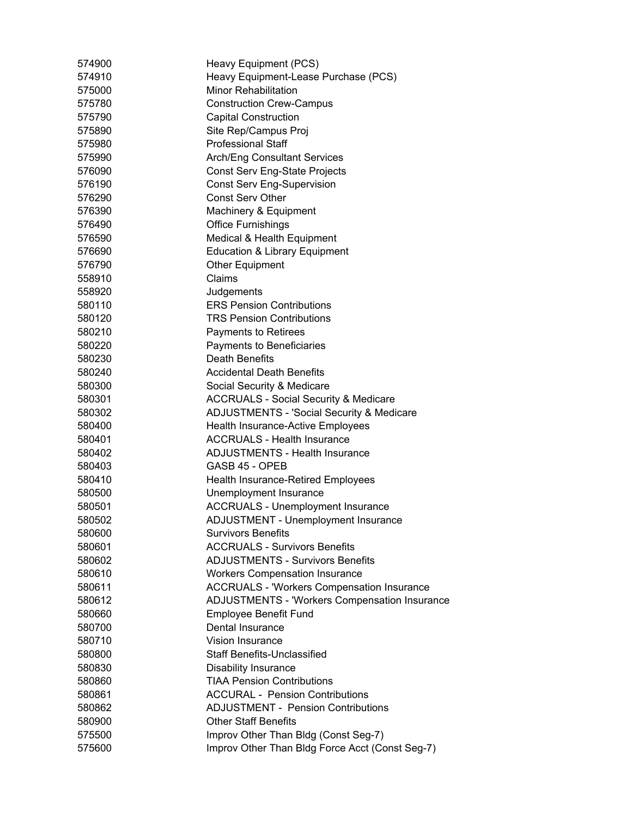| 574900 | Heavy Equipment (PCS)                                |
|--------|------------------------------------------------------|
| 574910 | Heavy Equipment-Lease Purchase (PCS)                 |
| 575000 | <b>Minor Rehabilitation</b>                          |
| 575780 | <b>Construction Crew-Campus</b>                      |
| 575790 | <b>Capital Construction</b>                          |
| 575890 | Site Rep/Campus Proj                                 |
| 575980 | <b>Professional Staff</b>                            |
| 575990 | <b>Arch/Eng Consultant Services</b>                  |
| 576090 | Const Serv Eng-State Projects                        |
| 576190 | <b>Const Serv Eng-Supervision</b>                    |
| 576290 | <b>Const Serv Other</b>                              |
| 576390 | Machinery & Equipment                                |
| 576490 | <b>Office Furnishings</b>                            |
| 576590 | Medical & Health Equipment                           |
| 576690 | <b>Education &amp; Library Equipment</b>             |
| 576790 | <b>Other Equipment</b>                               |
| 558910 | Claims                                               |
| 558920 | Judgements                                           |
| 580110 | <b>ERS Pension Contributions</b>                     |
| 580120 | <b>TRS Pension Contributions</b>                     |
| 580210 | Payments to Retirees                                 |
| 580220 | Payments to Beneficiaries                            |
| 580230 | Death Benefits                                       |
| 580240 | <b>Accidental Death Benefits</b>                     |
| 580300 | Social Security & Medicare                           |
| 580301 | <b>ACCRUALS - Social Security &amp; Medicare</b>     |
| 580302 | <b>ADJUSTMENTS - 'Social Security &amp; Medicare</b> |
| 580400 | Health Insurance-Active Employees                    |
| 580401 | <b>ACCRUALS - Health Insurance</b>                   |
| 580402 | <b>ADJUSTMENTS - Health Insurance</b>                |
| 580403 | GASB 45 - OPEB                                       |
| 580410 | Health Insurance-Retired Employees                   |
| 580500 | Unemployment Insurance                               |
| 580501 | <b>ACCRUALS - Unemployment Insurance</b>             |
| 580502 | <b>ADJUSTMENT - Unemployment Insurance</b>           |
| 580600 | <b>Survivors Benefits</b>                            |
| 580601 | <b>ACCRUALS - Survivors Benefits</b>                 |
| 580602 | <b>ADJUSTMENTS - Survivors Benefits</b>              |
| 580610 | <b>Workers Compensation Insurance</b>                |
| 580611 | <b>ACCRUALS - 'Workers Compensation Insurance</b>    |
| 580612 | ADJUSTMENTS - 'Workers Compensation Insurance        |
| 580660 | Employee Benefit Fund                                |
| 580700 | Dental Insurance                                     |
| 580710 | Vision Insurance                                     |
| 580800 | <b>Staff Benefits-Unclassified</b>                   |
| 580830 | <b>Disability Insurance</b>                          |
| 580860 | <b>TIAA Pension Contributions</b>                    |
| 580861 | <b>ACCURAL - Pension Contributions</b>               |
| 580862 | <b>ADJUSTMENT - Pension Contributions</b>            |
| 580900 | <b>Other Staff Benefits</b>                          |
| 575500 | Improv Other Than Bldg (Const Seg-7)                 |
| 575600 | Improv Other Than Bldg Force Acct (Const Seg-7)      |
|        |                                                      |